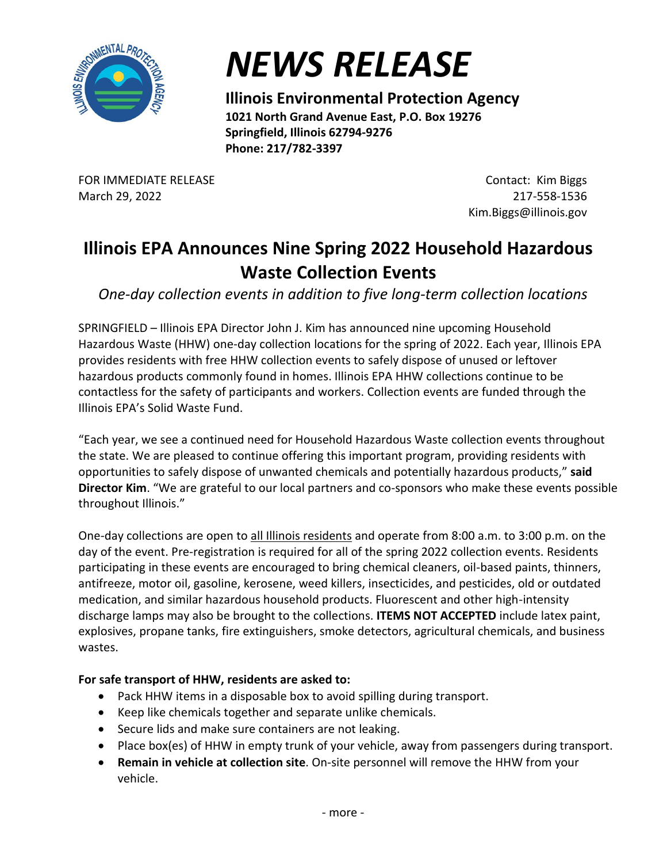

## *NEWS RELEASE*

**Illinois Environmental Protection Agency 1021 North Grand Avenue East, P.O. Box 19276 Springfield, Illinois 62794-9276 Phone: 217/782-3397** 

FOR IMMEDIATE RELEASE March 29, 2022

Contact: Kim Biggs 217-558-1536 Kim.Biggs@illinois.gov

## **Illinois EPA Announces Nine Spring 2022 Household Hazardous Waste Collection Events**

*One-day collection events in addition to five long-term collection locations*

SPRINGFIELD – Illinois EPA Director John J. Kim has announced nine upcoming Household Hazardous Waste (HHW) one-day collection locations for the spring of 2022. Each year, Illinois EPA provides residents with free HHW collection events to safely dispose of unused or leftover hazardous products commonly found in homes. Illinois EPA HHW collections continue to be contactless for the safety of participants and workers. Collection events are funded through the Illinois EPA's Solid Waste Fund.

"Each year, we see a continued need for Household Hazardous Waste collection events throughout the state. We are pleased to continue offering this important program, providing residents with opportunities to safely dispose of unwanted chemicals and potentially hazardous products," **said Director Kim**. "We are grateful to our local partners and co-sponsors who make these events possible throughout Illinois."

One-day collections are open to all Illinois residents and operate from 8:00 a.m. to 3:00 p.m. on the day of the event. Pre-registration is required for all of the spring 2022 collection events. Residents participating in these events are encouraged to bring chemical cleaners, oil-based paints, thinners, antifreeze, motor oil, gasoline, kerosene, weed killers, insecticides, and pesticides, old or outdated medication, and similar hazardous household products. Fluorescent and other high-intensity discharge lamps may also be brought to the collections. **ITEMS NOT ACCEPTED** include latex paint, explosives, propane tanks, fire extinguishers, smoke detectors, agricultural chemicals, and business wastes.

## **For safe transport of HHW, residents are asked to:**

- Pack HHW items in a disposable box to avoid spilling during transport.
- Keep like chemicals together and separate unlike chemicals.
- Secure lids and make sure containers are not leaking.
- Place box(es) of HHW in empty trunk of your vehicle, away from passengers during transport.
- **Remain in vehicle at collection site**. On-site personnel will remove the HHW from your vehicle.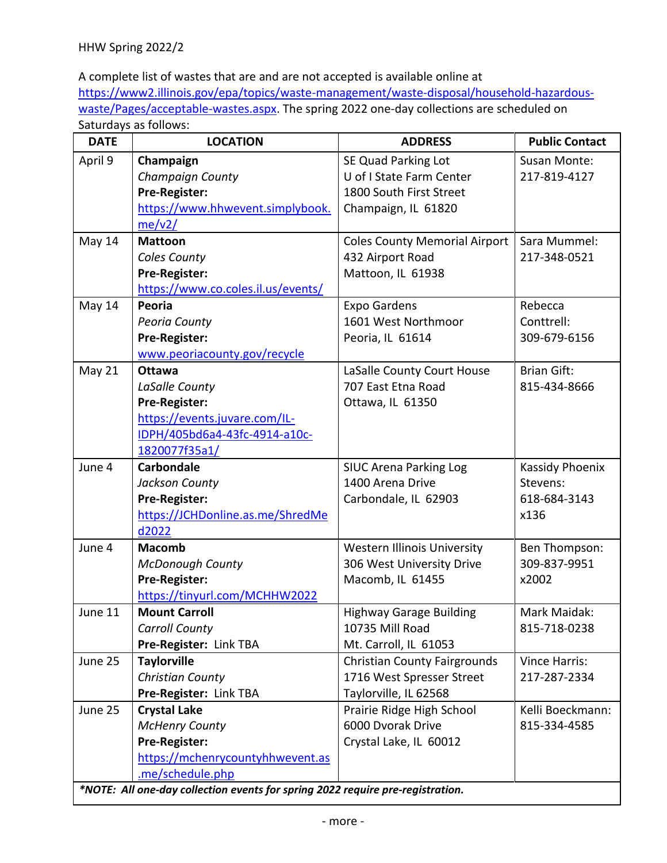A complete list of wastes that are and are not accepted is available online at [https://www2.illinois.gov/epa/topics/waste-management/waste-disposal/household-hazardous](https://www2.illinois.gov/epa/topics/waste-management/waste-disposal/household-hazardous-waste/Pages/acceptable-wastes.aspx)[waste/Pages/acceptable-wastes.aspx.](https://www2.illinois.gov/epa/topics/waste-management/waste-disposal/household-hazardous-waste/Pages/acceptable-wastes.aspx) The spring 2022 one-day collections are scheduled on Saturdays as follows:

| <b>DATE</b>                                                                    | <b>LOCATION</b>                                      | <b>ADDRESS</b>                                 | <b>Public Contact</b> |
|--------------------------------------------------------------------------------|------------------------------------------------------|------------------------------------------------|-----------------------|
| April 9                                                                        | Champaign                                            | SE Quad Parking Lot                            | Susan Monte:          |
|                                                                                | <b>Champaign County</b>                              | U of I State Farm Center                       | 217-819-4127          |
|                                                                                | Pre-Register:                                        | 1800 South First Street                        |                       |
|                                                                                | https://www.hhwevent.simplybook.                     | Champaign, IL 61820                            |                       |
|                                                                                | me/v2/                                               |                                                |                       |
| May 14                                                                         | <b>Mattoon</b>                                       | <b>Coles County Memorial Airport</b>           | Sara Mummel:          |
|                                                                                | Coles County                                         | 432 Airport Road                               | 217-348-0521          |
|                                                                                | Pre-Register:                                        | Mattoon, IL 61938                              |                       |
|                                                                                | https://www.co.coles.il.us/events/                   |                                                |                       |
| May 14                                                                         | Peoria                                               | <b>Expo Gardens</b>                            | Rebecca               |
|                                                                                | Peoria County                                        | 1601 West Northmoor                            | Conttrell:            |
|                                                                                | Pre-Register:                                        | Peoria, IL 61614                               | 309-679-6156          |
|                                                                                | www.peoriacounty.gov/recycle                         |                                                |                       |
| May 21                                                                         | <b>Ottawa</b>                                        | LaSalle County Court House                     | <b>Brian Gift:</b>    |
|                                                                                | LaSalle County                                       | 707 East Etna Road                             | 815-434-8666          |
|                                                                                | Pre-Register:                                        | Ottawa, IL 61350                               |                       |
|                                                                                | https://events.juvare.com/IL-                        |                                                |                       |
|                                                                                | IDPH/405bd6a4-43fc-4914-a10c-                        |                                                |                       |
|                                                                                | 1820077f35a1/                                        |                                                |                       |
| June 4                                                                         | <b>Carbondale</b>                                    | <b>SIUC Arena Parking Log</b>                  | Kassidy Phoenix       |
|                                                                                | Jackson County                                       | 1400 Arena Drive                               | Stevens:              |
|                                                                                | Pre-Register:                                        | Carbondale, IL 62903                           | 618-684-3143          |
|                                                                                | https://JCHDonline.as.me/ShredMe                     |                                                | x136                  |
|                                                                                | d2022                                                |                                                |                       |
| June 4                                                                         | <b>Macomb</b>                                        | <b>Western Illinois University</b>             | Ben Thompson:         |
|                                                                                | <b>McDonough County</b>                              | 306 West University Drive                      | 309-837-9951          |
|                                                                                | Pre-Register:                                        | Macomb, IL 61455                               | x2002                 |
|                                                                                | https://tinyurl.com/MCHHW2022                        |                                                |                       |
| June 11                                                                        | <b>Mount Carroll</b>                                 | <b>Highway Garage Building</b>                 | Mark Maidak:          |
|                                                                                | <b>Carroll County</b>                                | 10735 Mill Road                                | 815-718-0238          |
|                                                                                | Pre-Register: Link TBA                               | Mt. Carroll, IL 61053                          |                       |
| June 25                                                                        | <b>Taylorville</b>                                   | <b>Christian County Fairgrounds</b>            | Vince Harris:         |
|                                                                                | <b>Christian County</b>                              | 1716 West Spresser Street                      | 217-287-2334          |
|                                                                                | Pre-Register: Link TBA                               | Taylorville, IL 62568                          |                       |
| June 25                                                                        | <b>Crystal Lake</b>                                  | Prairie Ridge High School<br>6000 Dvorak Drive | Kelli Boeckmann:      |
|                                                                                | <b>McHenry County</b>                                |                                                | 815-334-4585          |
|                                                                                | Pre-Register:                                        | Crystal Lake, IL 60012                         |                       |
|                                                                                | https://mchenrycountyhhwevent.as<br>.me/schedule.php |                                                |                       |
|                                                                                |                                                      |                                                |                       |
| *NOTE: All one-day collection events for spring 2022 require pre-registration. |                                                      |                                                |                       |